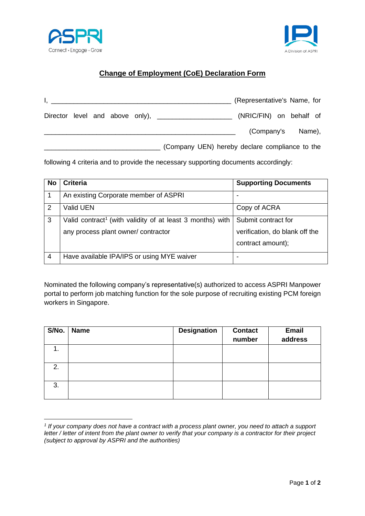



## **Change of Employment (CoE) Declaration Form**

| I, <u>and the second contract of the second contract of the second contract of the second contract of</u> |  |  |                                                         | (Representative's Name, for |  |  |
|-----------------------------------------------------------------------------------------------------------|--|--|---------------------------------------------------------|-----------------------------|--|--|
|                                                                                                           |  |  | Director level and above only), _______________________ | (NRIC/FIN) on behalf of     |  |  |
|                                                                                                           |  |  |                                                         | (Company's Name),           |  |  |
|                                                                                                           |  |  | (Company UEN) hereby declare compliance to the          |                             |  |  |

following 4 criteria and to provide the necessary supporting documents accordingly:

| <b>No</b> | <b>Criteria</b>                                                       | <b>Supporting Documents</b>    |
|-----------|-----------------------------------------------------------------------|--------------------------------|
|           | An existing Corporate member of ASPRI                                 |                                |
| 2         | Valid UEN                                                             | Copy of ACRA                   |
| 3         | Valid contract <sup>1</sup> (with validity of at least 3 months) with | Submit contract for            |
|           | any process plant owner/ contractor                                   | verification, do blank off the |
|           |                                                                       | contract amount);              |
| 4         | Have available IPA/IPS or using MYE waiver                            |                                |

Nominated the following company's representative(s) authorized to access ASPRI Manpower portal to perform job matching function for the sole purpose of recruiting existing PCM foreign workers in Singapore.

| S/No. | <b>Name</b> | <b>Designation</b> | <b>Contact</b><br>number | Email<br>address |
|-------|-------------|--------------------|--------------------------|------------------|
| 1.    |             |                    |                          |                  |
| 2.    |             |                    |                          |                  |
| 3.    |             |                    |                          |                  |

*<sup>1</sup> If your company does not have a contract with a process plant owner, you need to attach a support letter / letter of intent from the plant owner to verify that your company is a contractor for their project (subject to approval by ASPRI and the authorities)*